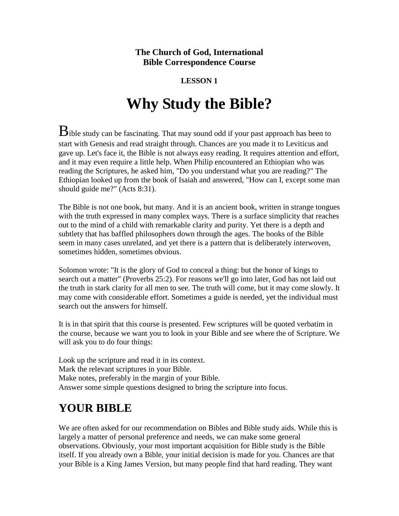#### **The Church of God, International Bible Correspondence Course**

#### **LESSON 1**

# **Why Study the Bible?**

 $\mathbf B$ ible study can be fascinating. That may sound odd if your past approach has been to start with Genesis and read straight through. Chances are you made it to Leviticus and gave up. Let's face it, the Bible is not always easy reading. It requires attention and effort, and it may even require a little help. When Philip encountered an Ethiopian who was reading the Scriptures, he asked him, "Do you understand what you are reading?" The Ethiopian looked up from the book of Isaiah and answered, "How can I, except some man should guide me?" (Acts 8:31).

The Bible is not one book, but many. And it is an ancient book, written in strange tongues with the truth expressed in many complex ways. There is a surface simplicity that reaches out to the mind of a child with remarkable clarity and purity. Yet there is a depth and subtlety that has baffled philosophers down through the ages. The books of the Bible seem in many cases unrelated, and yet there is a pattern that is deliberately interwoven, sometimes hidden, sometimes obvious.

Solomon wrote: "It is the glory of God to conceal a thing: but the honor of kings to search out a matter" (Proverbs 25:2). For reasons we'll go into later, God has not laid out the truth in stark clarity for all men to see. The truth will come, but it may come slowly. It may come with considerable effort. Sometimes a guide is needed, yet the individual must search out the answers for himself.

It is in that spirit that this course is presented. Few scriptures will be quoted verbatim in the course, because we want you to look in your Bible and see where the of Scripture. We will ask you to do four things:

Look up the scripture and read it in its context. Mark the relevant scriptures in your Bible. Make notes, preferably in the margin of your Bible. Answer some simple questions designed to bring the scripture into focus.

## **YOUR BIBLE**

We are often asked for our recommendation on Bibles and Bible study aids. While this is largely a matter of personal preference and needs, we can make some general observations. Obviously, your most important acquisition for Bible study is the Bible itself. If you already own a Bible, your initial decision is made for you. Chances are that your Bible is a King James Version, but many people find that hard reading. They want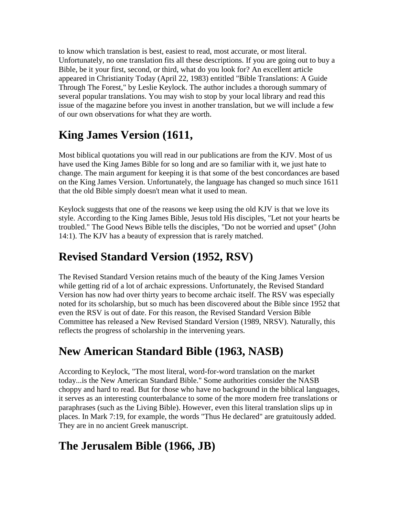to know which translation is best, easiest to read, most accurate, or most literal. Unfortunately, no one translation fits all these descriptions. If you are going out to buy a Bible, be it your first, second, or third, what do you look for? An excellent article appeared in Christianity Today (April 22, 1983) entitled "Bible Translations: A Guide Through The Forest," by Leslie Keylock. The author includes a thorough summary of several popular translations. You may wish to stop by your local library and read this issue of the magazine before you invest in another translation, but we will include a few of our own observations for what they are worth.

## **King James Version (1611,**

Most biblical quotations you will read in our publications are from the KJV. Most of us have used the King James Bible for so long and are so familiar with it, we just hate to change. The main argument for keeping it is that some of the best concordances are based on the King James Version. Unfortunately, the language has changed so much since 1611 that the old Bible simply doesn't mean what it used to mean.

Keylock suggests that one of the reasons we keep using the old KJV is that we love its style. According to the King James Bible, Jesus told His disciples, "Let not your hearts be troubled." The Good News Bible tells the disciples, "Do not be worried and upset" (John 14:1). The KJV has a beauty of expression that is rarely matched.

### **Revised Standard Version (1952, RSV)**

The Revised Standard Version retains much of the beauty of the King James Version while getting rid of a lot of archaic expressions. Unfortunately, the Revised Standard Version has now had over thirty years to become archaic itself. The RSV was especially noted for its scholarship, but so much has been discovered about the Bible since 1952 that even the RSV is out of date. For this reason, the Revised Standard Version Bible Committee has released a New Revised Standard Version (1989, NRSV). Naturally, this reflects the progress of scholarship in the intervening years.

## **New American Standard Bible (1963, NASB)**

According to Keylock, "The most literal, word-for-word translation on the market today...is the New American Standard Bible." Some authorities consider the NASB choppy and hard to read. But for those who have no background in the biblical languages, it serves as an interesting counterbalance to some of the more modern free translations or paraphrases (such as the Living Bible). However, even this literal translation slips up in places. In Mark 7:19, for example, the words "Thus He declared" are gratuitously added. They are in no ancient Greek manuscript.

## **The Jerusalem Bible (1966, JB)**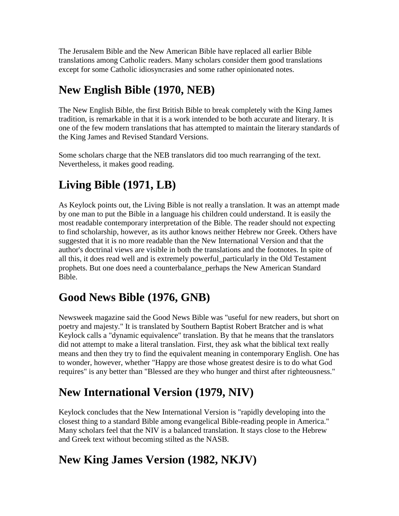The Jerusalem Bible and the New American Bible have replaced all earlier Bible translations among Catholic readers. Many scholars consider them good translations except for some Catholic idiosyncrasies and some rather opinionated notes.

## **New English Bible (1970, NEB)**

The New English Bible, the first British Bible to break completely with the King James tradition, is remarkable in that it is a work intended to be both accurate and literary. It is one of the few modern translations that has attempted to maintain the literary standards of the King James and Revised Standard Versions.

Some scholars charge that the NEB translators did too much rearranging of the text. Nevertheless, it makes good reading.

## **Living Bible (1971, LB)**

As Keylock points out, the Living Bible is not really a translation. It was an attempt made by one man to put the Bible in a language his children could understand. It is easily the most readable contemporary interpretation of the Bible. The reader should not expecting to find scholarship, however, as its author knows neither Hebrew nor Greek. Others have suggested that it is no more readable than the New International Version and that the author's doctrinal views are visible in both the translations and the footnotes. In spite of all this, it does read well and is extremely powerful\_particularly in the Old Testament prophets. But one does need a counterbalance\_perhaps the New American Standard Bible.

## **Good News Bible (1976, GNB)**

Newsweek magazine said the Good News Bible was "useful for new readers, but short on poetry and majesty." It is translated by Southern Baptist Robert Bratcher and is what Keylock calls a "dynamic equivalence" translation. By that he means that the translators did not attempt to make a literal translation. First, they ask what the biblical text really means and then they try to find the equivalent meaning in contemporary English. One has to wonder, however, whether "Happy are those whose greatest desire is to do what God requires" is any better than "Blessed are they who hunger and thirst after righteousness."

#### **New International Version (1979, NIV)**

Keylock concludes that the New International Version is "rapidly developing into the closest thing to a standard Bible among evangelical Bible-reading people in America." Many scholars feel that the NIV is a balanced translation. It stays close to the Hebrew and Greek text without becoming stilted as the NASB.

## **New King James Version (1982, NKJV)**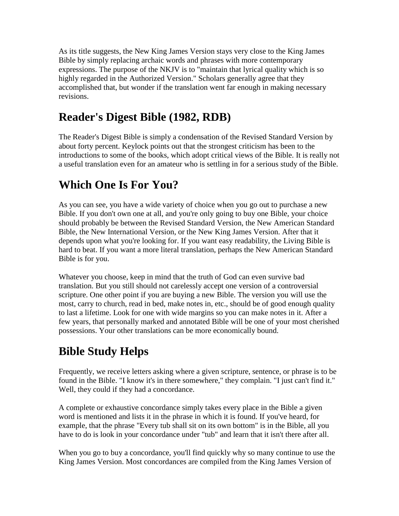As its title suggests, the New King James Version stays very close to the King James Bible by simply replacing archaic words and phrases with more contemporary expressions. The purpose of the NKJV is to "maintain that lyrical quality which is so highly regarded in the Authorized Version." Scholars generally agree that they accomplished that, but wonder if the translation went far enough in making necessary revisions.

#### **Reader's Digest Bible (1982, RDB)**

The Reader's Digest Bible is simply a condensation of the Revised Standard Version by about forty percent. Keylock points out that the strongest criticism has been to the introductions to some of the books, which adopt critical views of the Bible. It is really not a useful translation even for an amateur who is settling in for a serious study of the Bible.

#### **Which One Is For You?**

As you can see, you have a wide variety of choice when you go out to purchase a new Bible. If you don't own one at all, and you're only going to buy one Bible, your choice should probably be between the Revised Standard Version, the New American Standard Bible, the New International Version, or the New King James Version. After that it depends upon what you're looking for. If you want easy readability, the Living Bible is hard to beat. If you want a more literal translation, perhaps the New American Standard Bible is for you.

Whatever you choose, keep in mind that the truth of God can even survive bad translation. But you still should not carelessly accept one version of a controversial scripture. One other point if you are buying a new Bible. The version you will use the most, carry to church, read in bed, make notes in, etc., should be of good enough quality to last a lifetime. Look for one with wide margins so you can make notes in it. After a few years, that personally marked and annotated Bible will be one of your most cherished possessions. Your other translations can be more economically bound.

## **Bible Study Helps**

Frequently, we receive letters asking where a given scripture, sentence, or phrase is to be found in the Bible. "I know it's in there somewhere," they complain. "I just can't find it." Well, they could if they had a concordance.

A complete or exhaustive concordance simply takes every place in the Bible a given word is mentioned and lists it in the phrase in which it is found. If you've heard, for example, that the phrase "Every tub shall sit on its own bottom" is in the Bible, all you have to do is look in your concordance under "tub" and learn that it isn't there after all.

When you go to buy a concordance, you'll find quickly why so many continue to use the King James Version. Most concordances are compiled from the King James Version of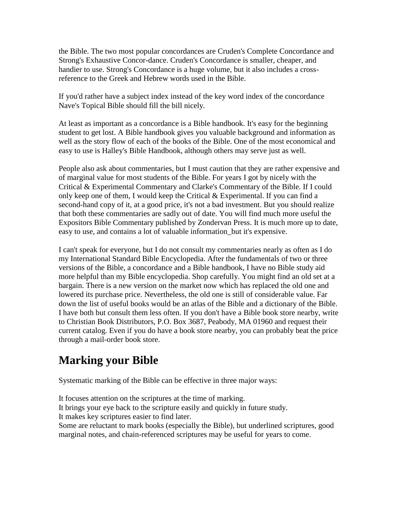the Bible. The two most popular concordances are Cruden's Complete Concordance and Strong's Exhaustive Concor-dance. Cruden's Concordance is smaller, cheaper, and handier to use. Strong's Concordance is a huge volume, but it also includes a crossreference to the Greek and Hebrew words used in the Bible.

If you'd rather have a subject index instead of the key word index of the concordance Nave's Topical Bible should fill the bill nicely.

At least as important as a concordance is a Bible handbook. It's easy for the beginning student to get lost. A Bible handbook gives you valuable background and information as well as the story flow of each of the books of the Bible. One of the most economical and easy to use is Halley's Bible Handbook, although others may serve just as well.

People also ask about commentaries, but I must caution that they are rather expensive and of marginal value for most students of the Bible. For years I got by nicely with the Critical & Experimental Commentary and Clarke's Commentary of the Bible. If I could only keep one of them, I would keep the Critical & Experimental. If you can find a second-hand copy of it, at a good price, it's not a bad investment. But you should realize that both these commentaries are sadly out of date. You will find much more useful the Expositors Bible Commentary published by Zondervan Press. It is much more up to date, easy to use, and contains a lot of valuable information\_but it's expensive.

I can't speak for everyone, but I do not consult my commentaries nearly as often as I do my International Standard Bible Encyclopedia. After the fundamentals of two or three versions of the Bible, a concordance and a Bible handbook, I have no Bible study aid more helpful than my Bible encyclopedia. Shop carefully. You might find an old set at a bargain. There is a new version on the market now which has replaced the old one and lowered its purchase price. Nevertheless, the old one is still of considerable value. Far down the list of useful books would be an atlas of the Bible and a dictionary of the Bible. I have both but consult them less often. If you don't have a Bible book store nearby, write to Christian Book Distributors, P.O. Box 3687, Peabody, MA 01960 and request their current catalog. Even if you do have a book store nearby, you can probably beat the price through a mail-order book store.

#### **Marking your Bible**

Systematic marking of the Bible can be effective in three major ways:

It focuses attention on the scriptures at the time of marking.

It brings your eye back to the scripture easily and quickly in future study.

It makes key scriptures easier to find later.

Some are reluctant to mark books (especially the Bible), but underlined scriptures, good marginal notes, and chain-referenced scriptures may be useful for years to come.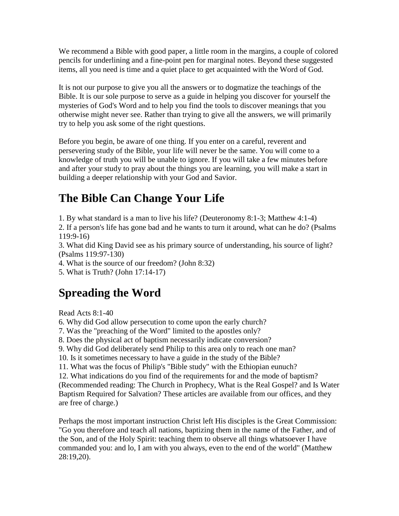We recommend a Bible with good paper, a little room in the margins, a couple of colored pencils for underlining and a fine-point pen for marginal notes. Beyond these suggested items, all you need is time and a quiet place to get acquainted with the Word of God.

It is not our purpose to give you all the answers or to dogmatize the teachings of the Bible. It is our sole purpose to serve as a guide in helping you discover for yourself the mysteries of God's Word and to help you find the tools to discover meanings that you otherwise might never see. Rather than trying to give all the answers, we will primarily try to help you ask some of the right questions.

Before you begin, be aware of one thing. If you enter on a careful, reverent and persevering study of the Bible, your life will never be the same. You will come to a knowledge of truth you will be unable to ignore. If you will take a few minutes before and after your study to pray about the things you are learning, you will make a start in building a deeper relationship with your God and Savior.

## **The Bible Can Change Your Life**

1. By what standard is a man to live his life? (Deuteronomy 8:1-3; Matthew 4:1-4)

2. If a person's life has gone bad and he wants to turn it around, what can he do? (Psalms 119:9-16)

3. What did King David see as his primary source of understanding, his source of light? (Psalms 119:97-130)

4. What is the source of our freedom? (John 8:32)

5. What is Truth? (John 17:14-17)

## **Spreading the Word**

Read Acts 8:1-40

6. Why did God allow persecution to come upon the early church?

7. Was the "preaching of the Word" limited to the apostles only?

8. Does the physical act of baptism necessarily indicate conversion?

9. Why did God deliberately send Philip to this area only to reach one man?

10. Is it sometimes necessary to have a guide in the study of the Bible?

11. What was the focus of Philip's "Bible study" with the Ethiopian eunuch?

12. What indications do you find of the requirements for and the mode of baptism? (Recommended reading: The Church in Prophecy, What is the Real Gospel? and Is Water Baptism Required for Salvation? These articles are available from our offices, and they are free of charge.)

Perhaps the most important instruction Christ left His disciples is the Great Commission: "Go you therefore and teach all nations, baptizing them in the name of the Father, and of the Son, and of the Holy Spirit: teaching them to observe all things whatsoever I have commanded you: and lo, I am with you always, even to the end of the world" (Matthew 28:19,20).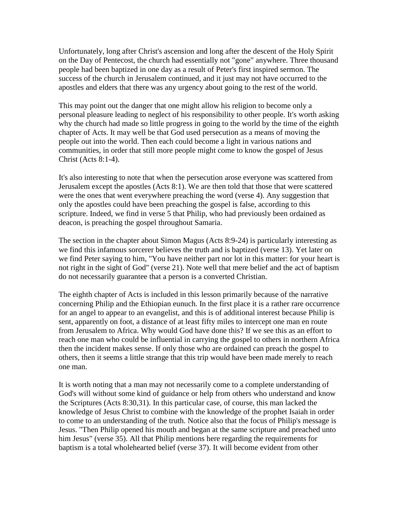Unfortunately, long after Christ's ascension and long after the descent of the Holy Spirit on the Day of Pentecost, the church had essentially not "gone" anywhere. Three thousand people had been baptized in one day as a result of Peter's first inspired sermon. The success of the church in Jerusalem continued, and it just may not have occurred to the apostles and elders that there was any urgency about going to the rest of the world.

This may point out the danger that one might allow his religion to become only a personal pleasure leading to neglect of his responsibility to other people. It's worth asking why the church had made so little progress in going to the world by the time of the eighth chapter of Acts. It may well be that God used persecution as a means of moving the people out into the world. Then each could become a light in various nations and communities, in order that still more people might come to know the gospel of Jesus Christ (Acts 8:1-4).

It's also interesting to note that when the persecution arose everyone was scattered from Jerusalem except the apostles (Acts 8:1). We are then told that those that were scattered were the ones that went everywhere preaching the word (verse 4). Any suggestion that only the apostles could have been preaching the gospel is false, according to this scripture. Indeed, we find in verse 5 that Philip, who had previously been ordained as deacon, is preaching the gospel throughout Samaria.

The section in the chapter about Simon Magus (Acts 8:9-24) is particularly interesting as we find this infamous sorcerer believes the truth and is baptized (verse 13). Yet later on we find Peter saying to him, "You have neither part nor lot in this matter: for your heart is not right in the sight of God" (verse 21). Note well that mere belief and the act of baptism do not necessarily guarantee that a person is a converted Christian.

The eighth chapter of Acts is included in this lesson primarily because of the narrative concerning Philip and the Ethiopian eunuch. In the first place it is a rather rare occurrence for an angel to appear to an evangelist, and this is of additional interest because Philip is sent, apparently on foot, a distance of at least fifty miles to intercept one man en route from Jerusalem to Africa. Why would God have done this? If we see this as an effort to reach one man who could be influential in carrying the gospel to others in northern Africa then the incident makes sense. If only those who are ordained can preach the gospel to others, then it seems a little strange that this trip would have been made merely to reach one man.

It is worth noting that a man may not necessarily come to a complete understanding of God's will without some kind of guidance or help from others who understand and know the Scriptures (Acts 8:30,31). In this particular case, of course, this man lacked the knowledge of Jesus Christ to combine with the knowledge of the prophet Isaiah in order to come to an understanding of the truth. Notice also that the focus of Philip's message is Jesus. "Then Philip opened his mouth and began at the same scripture and preached unto him Jesus" (verse 35). All that Philip mentions here regarding the requirements for baptism is a total wholehearted belief (verse 37). It will become evident from other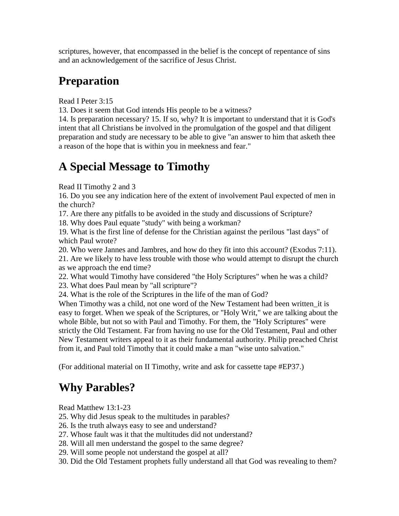scriptures, however, that encompassed in the belief is the concept of repentance of sins and an acknowledgement of the sacrifice of Jesus Christ.

## **Preparation**

Read I Peter 3:15

13. Does it seem that God intends His people to be a witness?

14. Is preparation necessary? 15. If so, why? It is important to understand that it is God's intent that all Christians be involved in the promulgation of the gospel and that diligent preparation and study are necessary to be able to give "an answer to him that asketh thee a reason of the hope that is within you in meekness and fear."

#### **A Special Message to Timothy**

Read II Timothy 2 and 3

16. Do you see any indication here of the extent of involvement Paul expected of men in the church?

17. Are there any pitfalls to be avoided in the study and discussions of Scripture?

18. Why does Paul equate "study" with being a workman?

19. What is the first line of defense for the Christian against the perilous "last days" of which Paul wrote?

20. Who were Jannes and Jambres, and how do they fit into this account? (Exodus 7:11).

21. Are we likely to have less trouble with those who would attempt to disrupt the church as we approach the end time?

22. What would Timothy have considered "the Holy Scriptures" when he was a child?

23. What does Paul mean by "all scripture"?

24. What is the role of the Scriptures in the life of the man of God?

When Timothy was a child, not one word of the New Testament had been written it is easy to forget. When we speak of the Scriptures, or "Holy Writ," we are talking about the whole Bible, but not so with Paul and Timothy. For them, the "Holy Scriptures" were strictly the Old Testament. Far from having no use for the Old Testament, Paul and other New Testament writers appeal to it as their fundamental authority. Philip preached Christ from it, and Paul told Timothy that it could make a man "wise unto salvation."

(For additional material on II Timothy, write and ask for cassette tape #EP37.)

## **Why Parables?**

Read Matthew 13:1-23

- 25. Why did Jesus speak to the multitudes in parables?
- 26. Is the truth always easy to see and understand?
- 27. Whose fault was it that the multitudes did not understand?
- 28. Will all men understand the gospel to the same degree?
- 29. Will some people not understand the gospel at all?
- 30. Did the Old Testament prophets fully understand all that God was revealing to them?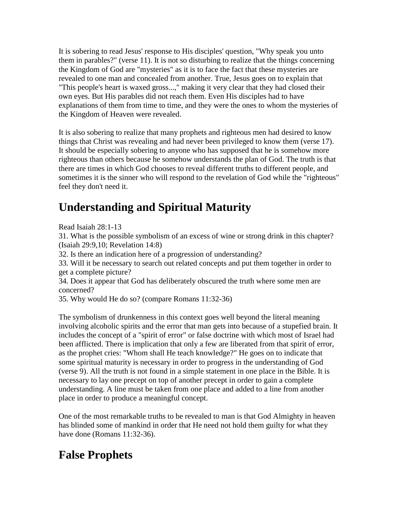It is sobering to read Jesus' response to His disciples' question, "Why speak you unto them in parables?" (verse 11). It is not so disturbing to realize that the things concerning the Kingdom of God are "mysteries" as it is to face the fact that these mysteries are revealed to one man and concealed from another. True, Jesus goes on to explain that "This people's heart is waxed gross...," making it very clear that they had closed their own eyes. But His parables did not reach them. Even His disciples had to have explanations of them from time to time, and they were the ones to whom the mysteries of the Kingdom of Heaven were revealed.

It is also sobering to realize that many prophets and righteous men had desired to know things that Christ was revealing and had never been privileged to know them (verse 17). It should be especially sobering to anyone who has supposed that he is somehow more righteous than others because he somehow understands the plan of God. The truth is that there are times in which God chooses to reveal different truths to different people, and sometimes it is the sinner who will respond to the revelation of God while the "righteous" feel they don't need it.

## **Understanding and Spiritual Maturity**

Read Isaiah 28:1-13

31. What is the possible symbolism of an excess of wine or strong drink in this chapter? (Isaiah 29:9,10; Revelation 14:8)

32. Is there an indication here of a progression of understanding?

33. Will it be necessary to search out related concepts and put them together in order to get a complete picture?

34. Does it appear that God has deliberately obscured the truth where some men are concerned?

35. Why would He do so? (compare Romans 11:32-36)

The symbolism of drunkenness in this context goes well beyond the literal meaning involving alcoholic spirits and the error that man gets into because of a stupefied brain. It includes the concept of a "spirit of error" or false doctrine with which most of Israel had been afflicted. There is implication that only a few are liberated from that spirit of error, as the prophet cries: "Whom shall He teach knowledge?" He goes on to indicate that some spiritual maturity is necessary in order to progress in the understanding of God (verse 9). All the truth is not found in a simple statement in one place in the Bible. It is necessary to lay one precept on top of another precept in order to gain a complete understanding. A line must be taken from one place and added to a line from another place in order to produce a meaningful concept.

One of the most remarkable truths to be revealed to man is that God Almighty in heaven has blinded some of mankind in order that He need not hold them guilty for what they have done (Romans 11:32-36).

## **False Prophets**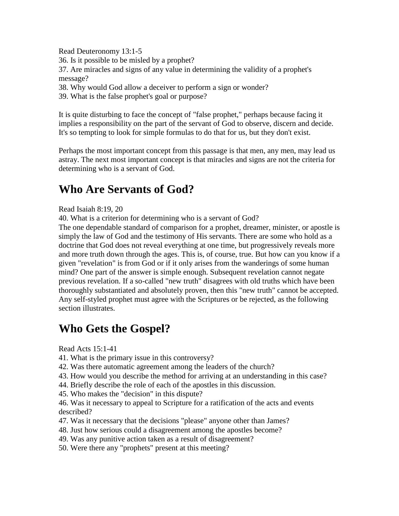Read Deuteronomy 13:1-5 36. Is it possible to be misled by a prophet? 37. Are miracles and signs of any value in determining the validity of a prophet's message?

38. Why would God allow a deceiver to perform a sign or wonder?

39. What is the false prophet's goal or purpose?

It is quite disturbing to face the concept of "false prophet," perhaps because facing it implies a responsibility on the part of the servant of God to observe, discern and decide. It's so tempting to look for simple formulas to do that for us, but they don't exist.

Perhaps the most important concept from this passage is that men, any men, may lead us astray. The next most important concept is that miracles and signs are not the criteria for determining who is a servant of God.

#### **Who Are Servants of God?**

#### Read Isaiah 8:19, 20

40. What is a criterion for determining who is a servant of God?

The one dependable standard of comparison for a prophet, dreamer, minister, or apostle is simply the law of God and the testimony of His servants. There are some who hold as a doctrine that God does not reveal everything at one time, but progressively reveals more and more truth down through the ages. This is, of course, true. But how can you know if a given "revelation" is from God or if it only arises from the wanderings of some human mind? One part of the answer is simple enough. Subsequent revelation cannot negate previous revelation. If a so-called "new truth" disagrees with old truths which have been thoroughly substantiated and absolutely proven, then this "new truth" cannot be accepted. Any self-styled prophet must agree with the Scriptures or be rejected, as the following section illustrates.

#### **Who Gets the Gospel?**

Read Acts 15:1-41

- 41. What is the primary issue in this controversy?
- 42. Was there automatic agreement among the leaders of the church?
- 43. How would you describe the method for arriving at an understanding in this case?
- 44. Briefly describe the role of each of the apostles in this discussion.
- 45. Who makes the "decision" in this dispute?
- 46. Was it necessary to appeal to Scripture for a ratification of the acts and events described?
- 47. Was it necessary that the decisions "please" anyone other than James?
- 48. Just how serious could a disagreement among the apostles become?
- 49. Was any punitive action taken as a result of disagreement?
- 50. Were there any "prophets" present at this meeting?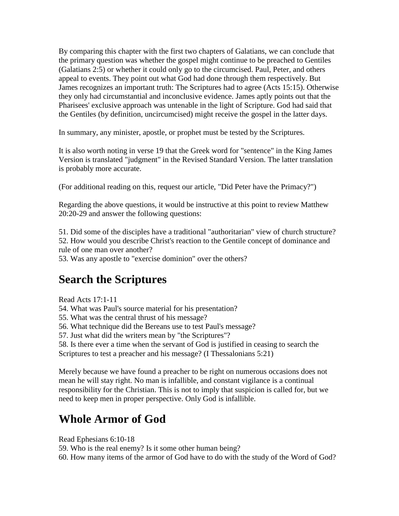By comparing this chapter with the first two chapters of Galatians, we can conclude that the primary question was whether the gospel might continue to be preached to Gentiles (Galatians 2:5) or whether it could only go to the circumcised. Paul, Peter, and others appeal to events. They point out what God had done through them respectively. But James recognizes an important truth: The Scriptures had to agree (Acts 15:15). Otherwise they only had circumstantial and inconclusive evidence. James aptly points out that the Pharisees' exclusive approach was untenable in the light of Scripture. God had said that the Gentiles (by definition, uncircumcised) might receive the gospel in the latter days.

In summary, any minister, apostle, or prophet must be tested by the Scriptures.

It is also worth noting in verse 19 that the Greek word for "sentence" in the King James Version is translated "judgment" in the Revised Standard Version. The latter translation is probably more accurate.

(For additional reading on this, request our article, "Did Peter have the Primacy?")

Regarding the above questions, it would be instructive at this point to review Matthew 20:20-29 and answer the following questions:

51. Did some of the disciples have a traditional "authoritarian" view of church structure? 52. How would you describe Christ's reaction to the Gentile concept of dominance and rule of one man over another?

53. Was any apostle to "exercise dominion" over the others?

#### **Search the Scriptures**

Read Acts 17:1-11

54. What was Paul's source material for his presentation?

55. What was the central thrust of his message?

56. What technique did the Bereans use to test Paul's message?

57. Just what did the writers mean by "the Scriptures"?

58. Is there ever a time when the servant of God is justified in ceasing to search the Scriptures to test a preacher and his message? (I Thessalonians 5:21)

Merely because we have found a preacher to be right on numerous occasions does not mean he will stay right. No man is infallible, and constant vigilance is a continual responsibility for the Christian. This is not to imply that suspicion is called for, but we need to keep men in proper perspective. Only God is infallible.

#### **Whole Armor of God**

Read Ephesians 6:10-18

59. Who is the real enemy? Is it some other human being?

60. How many items of the armor of God have to do with the study of the Word of God?